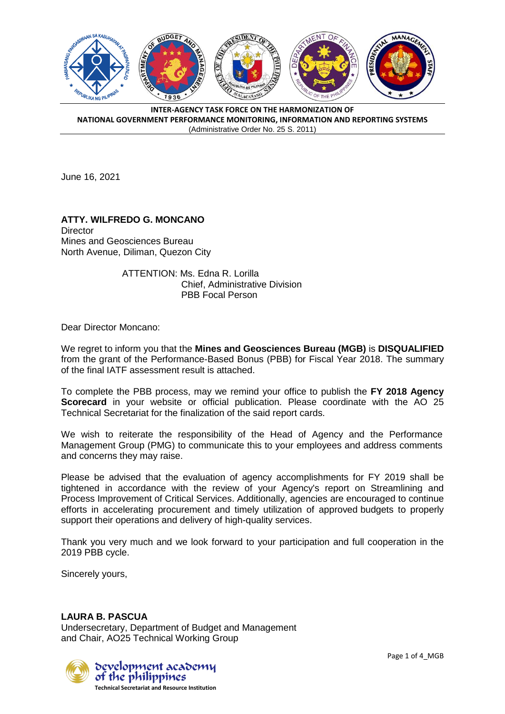

June 16, 2021

## **ATTY. WILFREDO G. MONCANO Director** Mines and Geosciences Bureau North Avenue, Diliman, Quezon City

ATTENTION: Ms. Edna R. Lorilla Chief, Administrative Division PBB Focal Person

Dear Director Moncano:

We regret to inform you that the **Mines and Geosciences Bureau (MGB)** is **DISQUALIFIED**  from the grant of the Performance-Based Bonus (PBB) for Fiscal Year 2018. The summary of the final IATF assessment result is attached.

To complete the PBB process, may we remind your office to publish the **FY 2018 Agency Scorecard** in your website or official publication. Please coordinate with the AO 25 Technical Secretariat for the finalization of the said report cards.

We wish to reiterate the responsibility of the Head of Agency and the Performance Management Group (PMG) to communicate this to your employees and address comments and concerns they may raise.

Please be advised that the evaluation of agency accomplishments for FY 2019 shall be tightened in accordance with the review of your Agency's report on Streamlining and Process Improvement of Critical Services. Additionally, agencies are encouraged to continue efforts in accelerating procurement and timely utilization of approved budgets to properly support their operations and delivery of high-quality services.

Thank you very much and we look forward to your participation and full cooperation in the 2019 PBB cycle.

Sincerely yours,

## **LAURA B. PASCUA**

Undersecretary, Department of Budget and Management and Chair, AO25 Technical Working Group

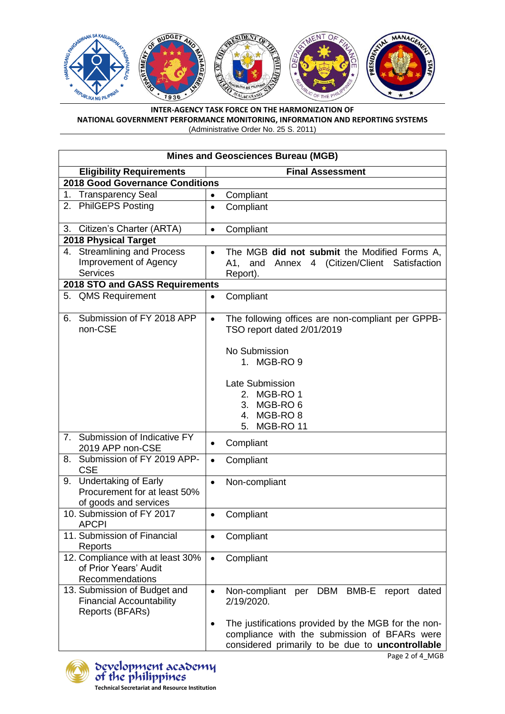

| <b>Mines and Geosciences Bureau (MGB)</b>          |                                                                                              |  |
|----------------------------------------------------|----------------------------------------------------------------------------------------------|--|
| <b>Eligibility Requirements</b>                    | <b>Final Assessment</b>                                                                      |  |
| 2018 Good Governance Conditions                    |                                                                                              |  |
| 1.<br><b>Transparency Seal</b>                     | Compliant<br>$\bullet$                                                                       |  |
| <b>PhilGEPS Posting</b><br>2.                      | Compliant<br>$\bullet$                                                                       |  |
| Citizen's Charter (ARTA)<br>3.                     | Compliant<br>$\bullet$                                                                       |  |
| 2018 Physical Target                               |                                                                                              |  |
| 4. Streamlining and Process                        | The MGB did not submit the Modified Forms A.<br>$\bullet$                                    |  |
| Improvement of Agency                              | 4 (Citizen/Client Satisfaction<br>A1, and<br>Annex                                           |  |
| <b>Services</b>                                    | Report).                                                                                     |  |
| 2018 STO and GASS Requirements                     |                                                                                              |  |
| 5. QMS Requirement                                 | Compliant<br>$\bullet$                                                                       |  |
| Submission of FY 2018 APP<br>6.<br>non-CSE         | The following offices are non-compliant per GPPB-<br>$\bullet$<br>TSO report dated 2/01/2019 |  |
|                                                    | No Submission                                                                                |  |
|                                                    | 1. MGB-RO 9                                                                                  |  |
|                                                    |                                                                                              |  |
|                                                    | Late Submission                                                                              |  |
|                                                    | MGB-RO <sub>1</sub><br>2.                                                                    |  |
|                                                    | MGB-RO <sub>6</sub><br>3.                                                                    |  |
|                                                    | 4. MGB-RO 8                                                                                  |  |
|                                                    | MGB-RO 11<br>5.                                                                              |  |
| Submission of Indicative FY<br>7.                  | Compliant<br>$\bullet$                                                                       |  |
| 2019 APP non-CSE                                   |                                                                                              |  |
| Submission of FY 2019 APP-<br>8.                   | Compliant<br>$\bullet$                                                                       |  |
| <b>CSE</b>                                         |                                                                                              |  |
| <b>Undertaking of Early</b><br>9.                  | Non-compliant<br>$\bullet$                                                                   |  |
| Procurement for at least 50%                       |                                                                                              |  |
| of goods and services<br>10. Submission of FY 2017 |                                                                                              |  |
| <b>APCPI</b>                                       | Compliant<br>$\bullet$                                                                       |  |
| 11. Submission of Financial                        | Compliant                                                                                    |  |
| Reports                                            |                                                                                              |  |
| 12. Compliance with at least 30%                   | Compliant<br>$\bullet$                                                                       |  |
| of Prior Years' Audit                              |                                                                                              |  |
| Recommendations                                    |                                                                                              |  |
| 13. Submission of Budget and                       | per DBM BMB-E<br>Non-compliant<br>report<br>dated<br>$\bullet$                               |  |
| <b>Financial Accountability</b>                    | 2/19/2020.                                                                                   |  |
| Reports (BFARs)                                    |                                                                                              |  |
|                                                    | The justifications provided by the MGB for the non-<br>$\bullet$                             |  |
|                                                    | compliance with the submission of BFARs were                                                 |  |
|                                                    | considered primarily to be due to uncontrollable                                             |  |



Page 2 of 4\_MGB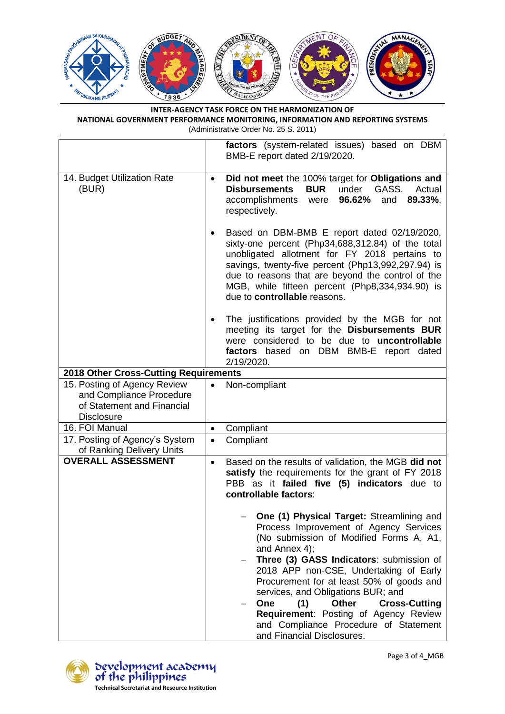

|                                                                                                             | factors (system-related issues) based on DBM<br>BMB-E report dated 2/19/2020.                                                                                                                                                                                                                                                                                                                                                                                                                  |  |
|-------------------------------------------------------------------------------------------------------------|------------------------------------------------------------------------------------------------------------------------------------------------------------------------------------------------------------------------------------------------------------------------------------------------------------------------------------------------------------------------------------------------------------------------------------------------------------------------------------------------|--|
| 14. Budget Utilization Rate<br>(BUR)                                                                        | Did not meet the 100% target for Obligations and<br>٠<br><b>BUR</b><br>under<br>GASS.<br><b>Disbursements</b><br>Actual<br>accomplishments were<br>96.62%<br>89.33%,<br>and<br>respectively.                                                                                                                                                                                                                                                                                                   |  |
|                                                                                                             | Based on DBM-BMB E report dated 02/19/2020,<br>٠<br>sixty-one percent (Php34,688,312.84) of the total<br>unobligated allotment for FY 2018 pertains to<br>savings, twenty-five percent (Php13,992,297.94) is<br>due to reasons that are beyond the control of the<br>MGB, while fifteen percent (Php8,334,934.90) is<br>due to controllable reasons.                                                                                                                                           |  |
|                                                                                                             | The justifications provided by the MGB for not<br>$\bullet$<br>meeting its target for the Disbursements BUR<br>were considered to be due to uncontrollable<br>factors based on DBM BMB-E report dated<br>2/19/2020.                                                                                                                                                                                                                                                                            |  |
| 2018 Other Cross-Cutting Requirements                                                                       |                                                                                                                                                                                                                                                                                                                                                                                                                                                                                                |  |
| 15. Posting of Agency Review<br>and Compliance Procedure<br>of Statement and Financial<br><b>Disclosure</b> | Non-compliant<br>$\bullet$                                                                                                                                                                                                                                                                                                                                                                                                                                                                     |  |
| 16. FOI Manual                                                                                              | Compliant<br>$\bullet$                                                                                                                                                                                                                                                                                                                                                                                                                                                                         |  |
| 17. Posting of Agency's System<br>of Ranking Delivery Units                                                 | Compliant<br>$\bullet$                                                                                                                                                                                                                                                                                                                                                                                                                                                                         |  |
| <b>OVERALL ASSESSMENT</b>                                                                                   | Based on the results of validation, the MGB did not<br>$\bullet$<br>satisfy the requirements for the grant of FY 2018<br>PBB as it failed five (5) indicators due to<br>controllable factors:                                                                                                                                                                                                                                                                                                  |  |
|                                                                                                             | One (1) Physical Target: Streamlining and<br>Process Improvement of Agency Services<br>(No submission of Modified Forms A, A1,<br>and Annex 4);<br>Three (3) GASS Indicators: submission of<br>2018 APP non-CSE, Undertaking of Early<br>Procurement for at least 50% of goods and<br>services, and Obligations BUR; and<br>(1)<br><b>Other</b><br><b>Cross-Cutting</b><br>One<br>Requirement: Posting of Agency Review<br>and Compliance Procedure of Statement<br>and Financial Disclosures. |  |